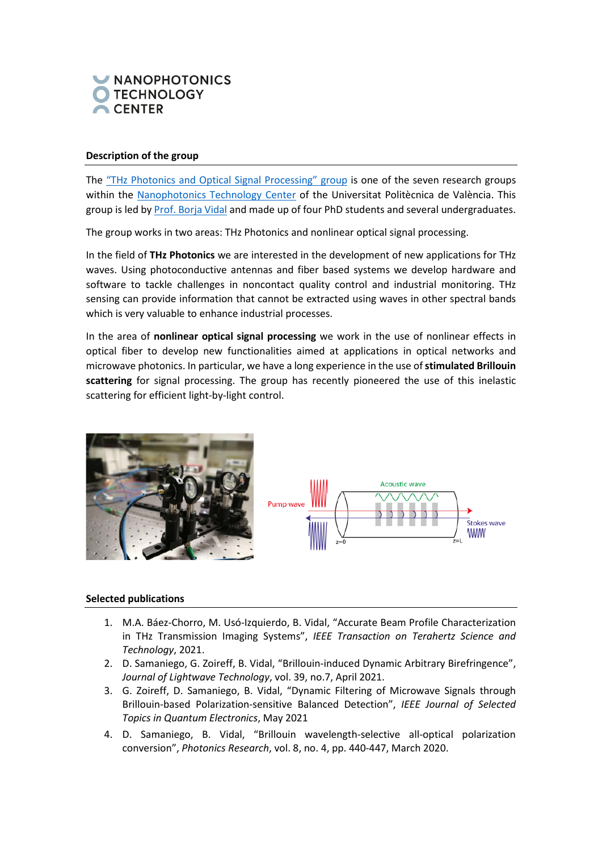

# **Description of the group**

The ["THz Photonics and Optical Signal Processing" group](https://ntc.webs.upv.es/thz-photonics-and-optical-signal-processing) is one of the seven research groups within the [Nanophotonics Technology Center](https://ntc.webs.upv.es/) of the Universitat Politècnica de València. This group is led b[y Prof. Borja](https://scholar.google.es/citations?user=PaK-8SUAAAAJ&hl=en) Vidal and made up of four PhD students and several undergraduates.

The group works in two areas: THz Photonics and nonlinear optical signal processing.

In the field of **THz Photonics** we are interested in the development of new applications for THz waves. Using photoconductive antennas and fiber based systems we develop hardware and software to tackle challenges in noncontact quality control and industrial monitoring. THz sensing can provide information that cannot be extracted using waves in other spectral bands which is very valuable to enhance industrial processes.

In the area of **nonlinear optical signal processing** we work in the use of nonlinear effects in optical fiber to develop new functionalities aimed at applications in optical networks and microwave photonics. In particular, we have a long experience in the use of **stimulated Brillouin scattering** for signal processing. The group has recently pioneered the use of this inelastic scattering for efficient light-by-light control.





### **Selected publications**

- 1. M.A. Báez-Chorro, M. Usó-Izquierdo, B. Vidal, "Accurate Beam Profile Characterization in THz Transmission Imaging Systems", *IEEE Transaction on Terahertz Science and Technology*, 2021.
- 2. D. Samaniego, G. Zoireff, B. Vidal, "Brillouin-induced Dynamic Arbitrary Birefringence", *Journal of Lightwave Technology*, vol. 39, no.7, April 2021.
- 3. G. Zoireff, D. Samaniego, B. Vidal, "Dynamic Filtering of Microwave Signals through Brillouin-based Polarization-sensitive Balanced Detection", *IEEE Journal of Selected Topics in Quantum Electronics*, May 2021
- 4. D. Samaniego, B. Vidal, "Brillouin wavelength-selective all-optical polarization conversion", *Photonics Research*, vol. 8, no. 4, pp. 440-447, March 2020.